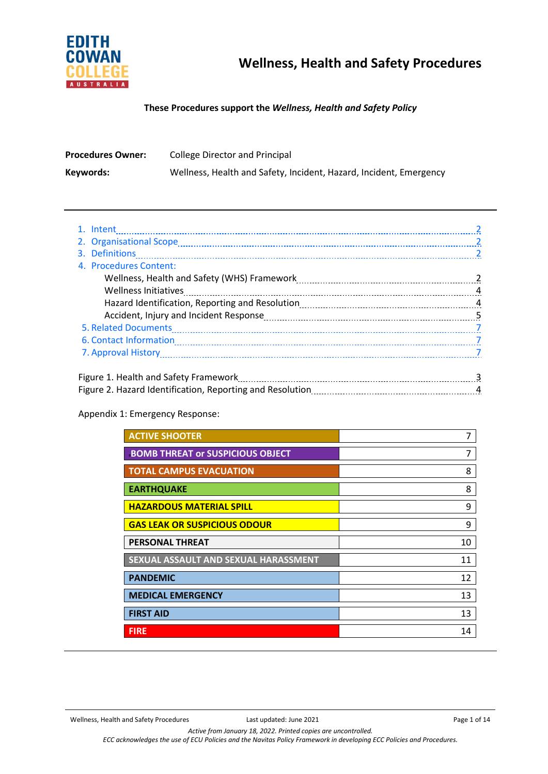

### **These Procedures support the** *Wellness, Health and Safety Policy*

| <b>Procedures Owner:</b> | College Director and Principal                                     |
|--------------------------|--------------------------------------------------------------------|
| Keywords:                | Wellness, Health and Safety, Incident, Hazard, Incident, Emergency |

| 4. Procedures Content:                |   |
|---------------------------------------|---|
|                                       |   |
|                                       | 4 |
|                                       |   |
|                                       |   |
|                                       |   |
|                                       |   |
|                                       |   |
|                                       |   |
| Figure 1. Health and Safety Framework |   |

### Figure 1. Health and Safety Framework **2000** Figure 3. All and the Safety 3. All and 3. All and 3. All and 3. Al Figure 2. Hazard Identification, Reporting and Resolution 4

### Appendix 1: Emergency Response:

| <b>ACTIVE SHOOTER</b>                   | 7  |
|-----------------------------------------|----|
| <b>BOMB THREAT OF SUSPICIOUS OBJECT</b> | 7  |
| <b>TOTAL CAMPUS EVACUATION</b>          | 8  |
| <b>EARTHQUAKE</b>                       | 8  |
| <b>HAZARDOUS MATERIAL SPILL</b>         | 9  |
| <b>GAS LEAK OR SUSPICIOUS ODOUR</b>     | 9  |
| <b>PERSONAL THREAT</b>                  | 10 |
| SEXUAL ASSAULT AND SEXUAL HARASSMENT    | 11 |
| <b>PANDEMIC</b>                         | 12 |
| <b>MEDICAL EMERGENCY</b>                | 13 |
| <b>FIRST AID</b>                        | 13 |
| <b>FIRE</b>                             | 14 |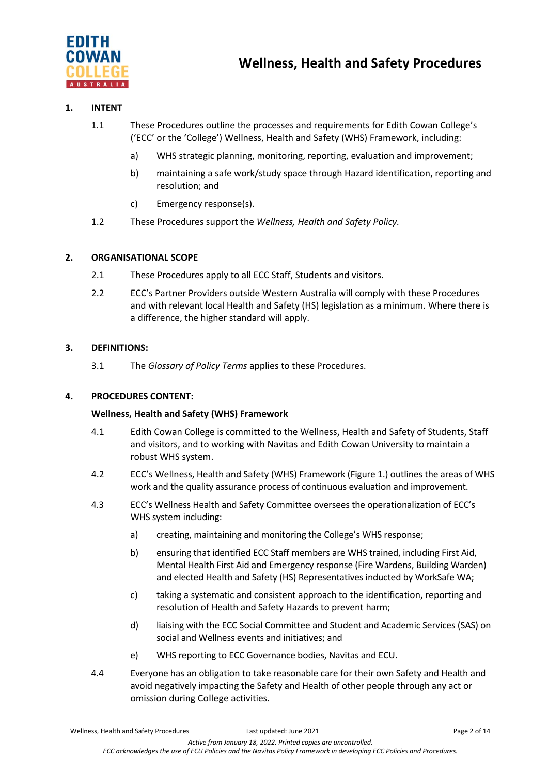

### **1. INTENT**

- 1.1 These Procedures outline the processes and requirements for Edith Cowan College's ('ECC' or the 'College') Wellness, Health and Safety (WHS) Framework, including:
	- a) WHS strategic planning, monitoring, reporting, evaluation and improvement;
	- b) maintaining a safe work/study space through Hazard identification, reporting and resolution; and
	- c) Emergency response(s).
- 1.2 These Procedures support the *Wellness, Health and Safety Policy.*

### **2. ORGANISATIONAL SCOPE**

- 2.1 These Procedures apply to all ECC Staff, Students and visitors.
- 2.2 ECC's Partner Providers outside Western Australia will comply with these Procedures and with relevant local Health and Safety (HS) legislation as a minimum. Where there is a difference, the higher standard will apply.

### **3. DEFINITIONS:**

3.1 The *Glossary of Policy Terms* applies to these Procedures.

### **4. PROCEDURES CONTENT:**

### **Wellness, Health and Safety (WHS) Framework**

- 4.1 Edith Cowan College is committed to the Wellness, Health and Safety of Students, Staff and visitors, and to working with Navitas and Edith Cowan University to maintain a robust WHS system.
- 4.2 ECC's Wellness, Health and Safety (WHS) Framework (Figure 1.) outlines the areas of WHS work and the quality assurance process of continuous evaluation and improvement.
- 4.3 ECC's Wellness Health and Safety Committee oversees the operationalization of ECC's WHS system including:
	- a) creating, maintaining and monitoring the College's WHS response;
	- b) ensuring that identified ECC Staff members are WHS trained, including First Aid, Mental Health First Aid and Emergency response (Fire Wardens, Building Warden) and elected Health and Safety (HS) Representatives inducted by WorkSafe WA;
	- c) taking a systematic and consistent approach to the identification, reporting and resolution of Health and Safety Hazards to prevent harm;
	- d) liaising with the ECC Social Committee and Student and Academic Services (SAS) on social and Wellness events and initiatives; and
	- e) WHS reporting to ECC Governance bodies, Navitas and ECU.
- 4.4 Everyone has an obligation to take reasonable care for their own Safety and Health and avoid negatively impacting the Safety and Health of other people through any act or omission during College activities.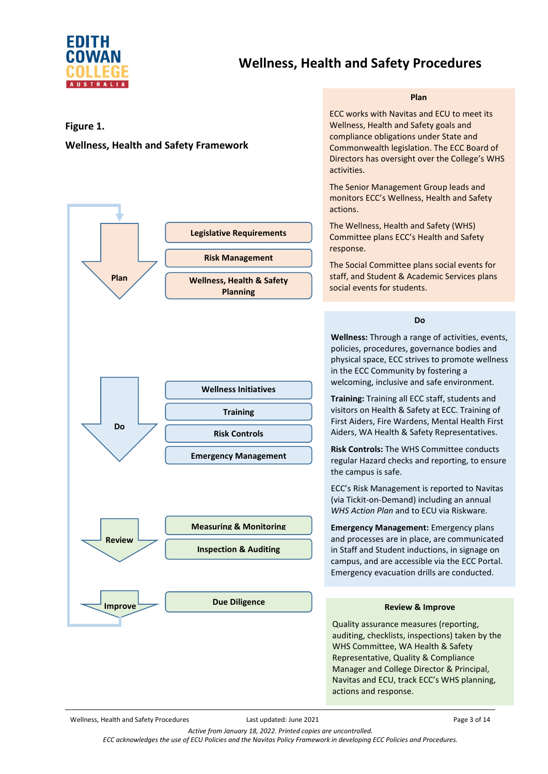

# **Wellness, Health and Safety Procedures**

#### **Plan**

#### **Figure 1.**

### **Wellness, Health and Safety Framework**



ECC works with Navitas and ECU to meet its Wellness, Health and Safety goals and compliance obligations under State and Commonwealth legislation. The ECC Board of Directors has oversight over the College's WHS activities.

The Senior Management Group leads and monitors ECC's Wellness, Health and Safety actions.

The Wellness, Health and Safety (WHS) Committee plans ECC's Health and Safety response.

The Social Committee plans social events for staff, and Student & Academic Services plans social events for students.

**Do**

**Wellness:** Through a range of activities, events, policies, procedures, governance bodies and physical space, ECC strives to promote wellness in the ECC Community by fostering a welcoming, inclusive and safe environment.

**Training:** Training all ECC staff, students and visitors on Health & Safety at ECC. Training of First Aiders, Fire Wardens, Mental Health First Aiders, WA Health & Safety Representatives.

**Risk Controls:** The WHS Committee conducts regular Hazard checks and reporting, to ensure the campus is safe.

ECC's Risk Management is reported to Navitas (via Tickit-on-Demand) including an annual *WHS Action Plan* and to ECU via Riskware.

**Emergency Management:** Emergency plans and processes are in place, are communicated in Staff and Student inductions, in signage on campus, and are accessible via the ECC Portal. Emergency evacuation drills are conducted.

#### **Review & Improve**

Quality assurance measures (reporting, auditing, checklists, inspections) taken by the WHS Committee, WA Health & Safety Representative, Quality & Compliance Manager and College Director & Principal, Navitas and ECU, track ECC's WHS planning, actions and response.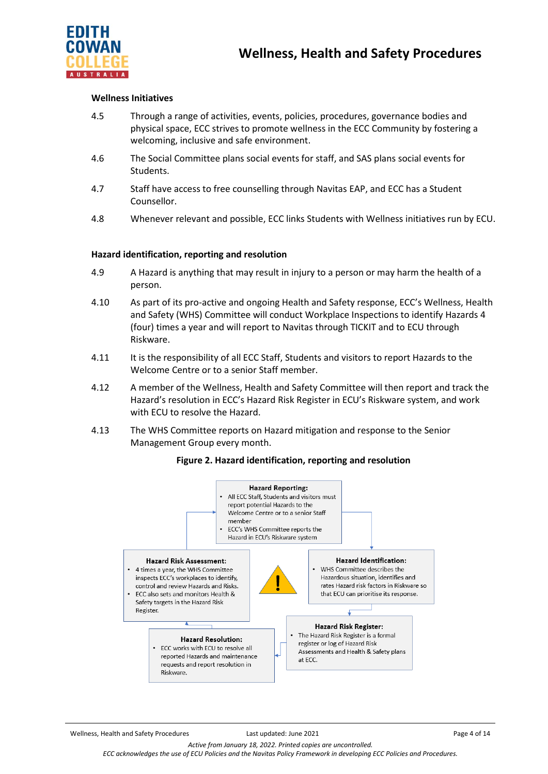

### **Wellness Initiatives**

- 4.5 Through a range of activities, events, policies, procedures, governance bodies and physical space, ECC strives to promote wellness in the ECC Community by fostering a welcoming, inclusive and safe environment.
- 4.6 The Social Committee plans social events for staff, and SAS plans social events for Students.
- 4.7 Staff have access to free counselling through Navitas EAP, and ECC has a Student Counsellor.
- 4.8 Whenever relevant and possible, ECC links Students with Wellness initiatives run by ECU.

### **Hazard identification, reporting and resolution**

- 4.9 A Hazard is anything that may result in injury to a person or may harm the health of a person.
- 4.10 As part of its pro-active and ongoing Health and Safety response, ECC's Wellness, Health and Safety (WHS) Committee will conduct Workplace Inspections to identify Hazards 4 (four) times a year and will report to Navitas through TICKIT and to ECU through Riskware.
- 4.11 It is the responsibility of all ECC Staff, Students and visitors to report Hazards to the Welcome Centre or to a senior Staff member.
- 4.12 A member of the Wellness, Health and Safety Committee will then report and track the Hazard's resolution in ECC's Hazard Risk Register in ECU's Riskware system, and work with ECU to resolve the Hazard.
- 4.13 The WHS Committee reports on Hazard mitigation and response to the Senior Management Group every month.

#### **Figure 2. Hazard identification, reporting and resolution**



*Active from January 18, 2022. Printed copies are uncontrolled. ECC acknowledges the use of ECU Policies and the Navitas Policy Framework in developing ECC Policies and Procedures.*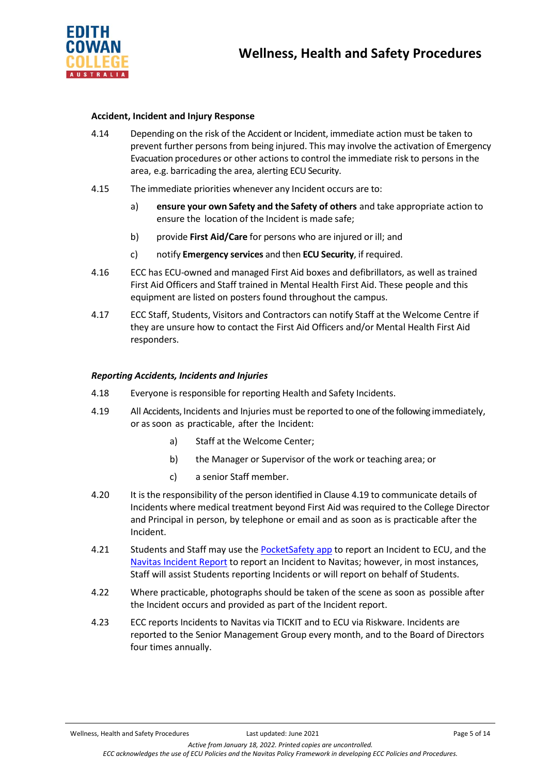

### **Accident, Incident and Injury Response**

- 4.14 Depending on the risk of the Accident or Incident, immediate action must be taken to prevent further persons from being injured. This may involve the activation of Emergency Evacuation procedures or other actions to control the immediate risk to persons in the area, e.g. barricading the area, alerting ECU Security.
- 4.15 The immediate priorities whenever any Incident occurs are to:
	- a) **ensure your own Safety and the Safety of others** and take appropriate action to ensure the location of the Incident is made safe;
	- b) provide **First Aid/Care** for persons who are injured or ill; and
	- c) notify **Emergency services** and then **ECU Security**, if required.
- 4.16 ECC has ECU-owned and managed First Aid boxes and defibrillators, as well as trained First Aid Officers and Staff trained in Mental Health First Aid. These people and this equipment are listed on posters found throughout the campus.
- 4.17 ECC Staff, Students, Visitors and Contractors can notify Staff at the Welcome Centre if they are unsure how to contact the First Aid Officers and/or Mental Health First Aid responders.

### *Reporting Accidents, Incidents and Injuries*

- 4.18 Everyone is responsible for reporting Health and Safety Incidents.
- 4.19 All Accidents, Incidents and Injuries must be reported to one of the following immediately, or as soon as practicable, after the Incident:
	- a) Staff at the Welcome Center;
	- b) the Manager or Supervisor of the work or teaching area; or
	- c) a senior Staff member.
- 4.20 It is the responsibility of the person identified in Clause 4.19 to communicate details of Incidents where medical treatment beyond First Aid wasrequired to the College Director and Principal in person, by telephone or email and as soon as is practicable after the Incident.
- 4.21 Students and Staff may use th[e PocketSafety app](https://intranet.ecu.edu.au/__data/assets/pdf_file/0006/857598/Pocket-Safety-Poster.pdf) to report an Incident to ECU, and the [Navitas Incident Report](https://navitas.tod.net.au/incidents/new/ba9918552c175edc5129968a75eefca2) to report an Incident to Navitas; however, in most instances, Staff will assist Students reporting Incidents or will report on behalf of Students.
- 4.22 Where practicable, photographs should be taken of the scene as soon as possible after the Incident occurs and provided as part of the Incident report.
- 4.23 ECC reports Incidents to Navitas via TICKIT and to ECU via Riskware. Incidents are reported to the Senior Management Group every month, and to the Board of Directors four times annually.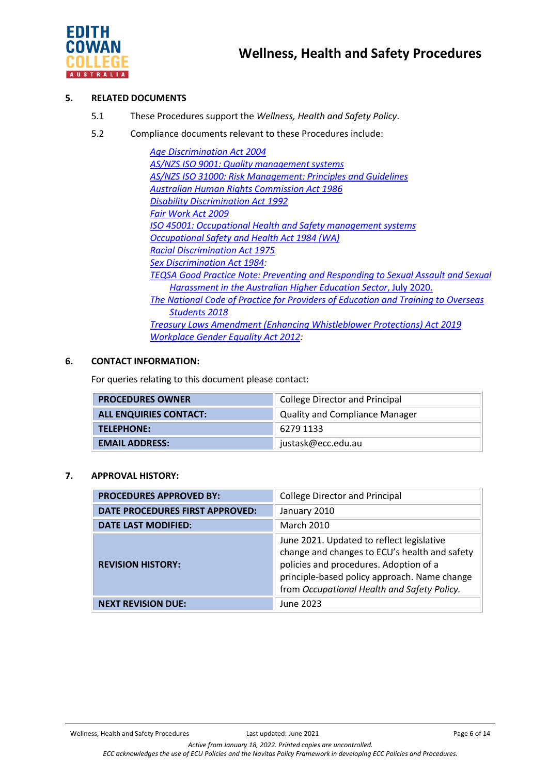

### **5. RELATED DOCUMENTS**

- 5.1 These Procedures support the *Wellness, Health and Safety Policy*.
- 5.2 Compliance documents relevant to these Procedures include:

*[Age Discrimination Act 2004](https://www.legislation.gov.au/Details/C2020C00283) AS/NZS ISO 9001: Quality [management systems](https://www.standards.org.au/standards-catalogue/sa-snz/publicsafety/qr-008/as-slash-nzs--iso--9001-colon-2016) AS/NZS ISO 31000: Risk [Management: Principles](https://www.standards.org.au/standards-catalogue/sa-snz/publicsafety/ob-007/as--iso--31000-colon-2018) and Guidelines [Australian Human Rights Commission Act 1986](https://www.legislation.gov.au/Details/C2019C00030) [Disability Discrimination Act 1992](https://www.legislation.gov.au/Details/C2018C00125) [Fair Work Act 2009](https://www.legislation.gov.au/Details/C2017C00323) ISO 45001: Occupational Health and Safety [management systems](https://www.standards.org.au/news/iso-45001-occupational-health-and-safety-management-systems-%E2%80%93-requirements-with-guidance-for-use) [Occupational](https://www.legislation.wa.gov.au/legislation/statutes.nsf/main_mrtitle_650_homepage.html) Safety and Health Act 1984 (WA) [Racial Discrimination Act 1975](https://www.legislation.gov.au/Details/C2016C00089) [Sex Discrimination Act 1984:](https://www.legislation.gov.au/Details/C2018C00499) TEQSA Good Practice Note: Preventing and [Responding](https://www.teqsa.gov.au/sites/default/files/good-practice-note-preventing-responding-sexual-assault-%20%20%20sexual_harassment.pdf?v=1594266369) to Sexual Assault and Sexual [Harassment in](https://www.teqsa.gov.au/sites/default/files/good-practice-note-preventing-responding-sexual-assault-%20%20%20sexual_harassment.pdf?v=1594266369) the Australian Higher Education Sector*, July 2020. *[The National Code of Practice for Providers of Education and Training to Overseas](https://internationaleducation.gov.au/Regulatory-Information/Pages/National-)  [Students 2018](https://internationaleducation.gov.au/Regulatory-Information/Pages/National-) [Treasury Laws Amendment \(Enhancing Whistleblower Protections\) Act 2019](https://www.legislation.gov.au/Details/C2019A00010) [Workplace Gender Equality Act 2012:](https://www.legislation.gov.au/Details/C2016C00895)*

### **6. CONTACT INFORMATION:**

For queries relating to this document please contact:

| <b>PROCEDURES OWNER</b>       | <b>College Director and Principal</b> |  |
|-------------------------------|---------------------------------------|--|
| <b>ALL ENQUIRIES CONTACT:</b> | <b>Quality and Compliance Manager</b> |  |
| TELEPHONE:                    | 6279 1133                             |  |
| <b>EMAIL ADDRESS:</b>         | justask@ecc.edu.au                    |  |

### **7. APPROVAL HISTORY:**

| <b>PROCEDURES APPROVED BY:</b>  | <b>College Director and Principal</b>                                                                                                                                                                                               |
|---------------------------------|-------------------------------------------------------------------------------------------------------------------------------------------------------------------------------------------------------------------------------------|
| DATE PROCEDURES FIRST APPROVED: | January 2010                                                                                                                                                                                                                        |
| <b>DATE LAST MODIFIED:</b>      | <b>March 2010</b>                                                                                                                                                                                                                   |
| <b>REVISION HISTORY:</b>        | June 2021. Updated to reflect legislative<br>change and changes to ECU's health and safety<br>policies and procedures. Adoption of a<br>principle-based policy approach. Name change<br>from Occupational Health and Safety Policy. |
| <b>NEXT REVISION DUE:</b>       | June 2023                                                                                                                                                                                                                           |

Wellness, Health and Safety Procedures Last updated: June 2021 **Page 6 of 14** Page 6 of 14

*Active from January 18, 2022. Printed copies are uncontrolled. ECC acknowledges the use of ECU Policies and the Navitas Policy Framework in developing ECC Policies and Procedures.*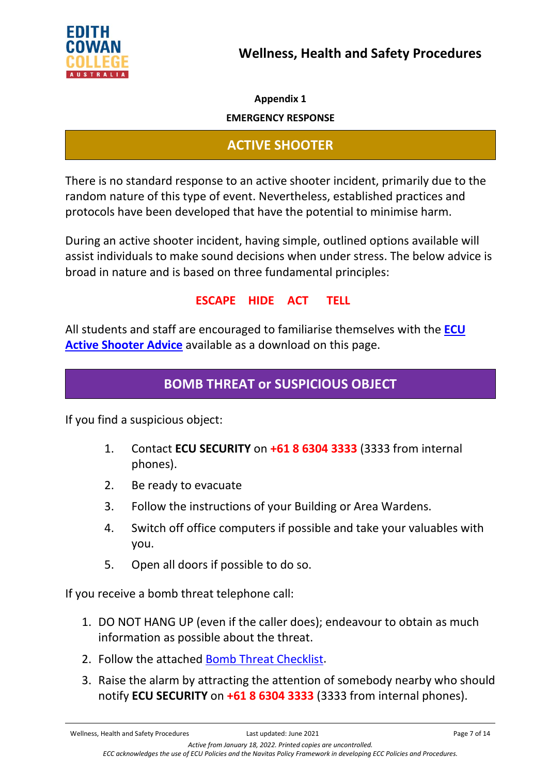

**Appendix 1**

**EMERGENCY RESPONSE**

# **ACTIVE SHOOTER**

There is no standard response to an active shooter incident, primarily due to the random nature of this type of event. Nevertheless, established practices and protocols have been developed that have the potential to minimise harm.

During an active shooter incident, having simple, outlined options available will assist individuals to make sound decisions when under stress. The below advice is broad in nature and is based on three fundamental principles:

## **ESCAPE HIDE ACT TELL**

All students and staff are encouraged to familiarise themselves with the **[ECU](https://edithcowan.service-now.com/kb_view.do?sysparm_article=KB0011043)  [Active Shooter Advice](https://edithcowan.service-now.com/kb_view.do?sysparm_article=KB0011043)** available as a download on this page.

# **BOMB THREAT or SUSPICIOUS OBJECT**

If you find a suspicious object:

- 1. Contact **ECU SECURITY** on **+61 8 6304 3333** (3333 from internal phones).
- 2. Be ready to evacuate
- 3. Follow the instructions of your Building or Area Wardens.
- 4. Switch off office computers if possible and take your valuables with you.
- 5. Open all doors if possible to do so.

If you receive a bomb threat telephone call:

- 1. DO NOT HANG UP (even if the caller does); endeavour to obtain as much information as possible about the threat.
- 2. Follow the attached Bomb [Threat Checklist.](file://navitas.local/UPA/ECC/Policies/ECC%20Policy%20Working%20Group%202021/WHS/Bomb%20phone%20threat%20checklist.pdf)
- 3. Raise the alarm by attracting the attention of somebody nearby who should notify **ECU SECURITY** on **+61 8 6304 3333** (3333 from internal phones).

Wellness, Health and Safety Procedures Last updated: June 2021 **Page 7 of 14** Page 7 of 14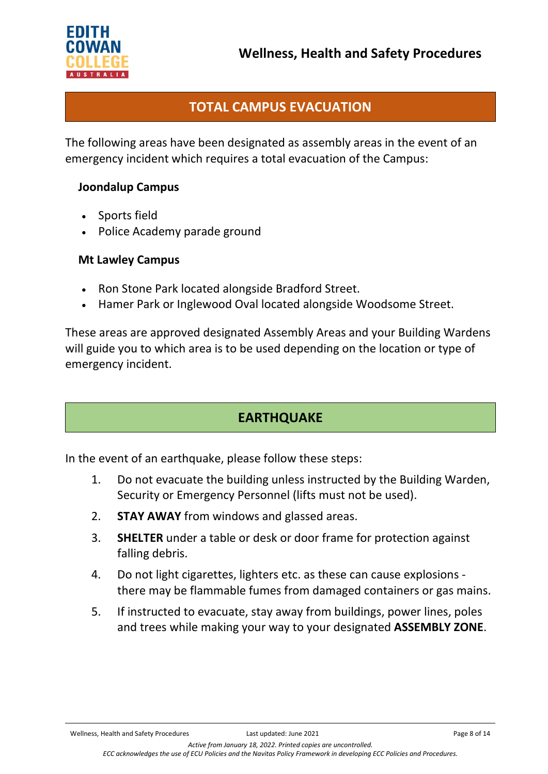

# **TOTAL CAMPUS EVACUATION**

The following areas have been designated as assembly areas in the event of an emergency incident which requires a total evacuation of the Campus:

## **[Joondalup](https://intranet.ecu.edu.au/__data/assets/pdf_file/0011/893585/ML-Campus-Evac.-map-March-2016-Issue-2.pdf) Campus**

- Sports field
- Police Academy parade ground

### **[Mt](https://intranet.ecu.edu.au/__data/assets/pdf_file/0011/893585/ML-Campus-Evac.-map-March-2016-Issue-2.pdf) Lawley Campus**

- Ron Stone Park located alongside Bradford Street.
- Hamer Park or Inglewood Oval located alongside Woodsome Street.

These areas are approved designated Assembly Areas and your Building Wardens will guide you to which area is to be used depending on the location or type of emergency incident.

## **EARTHQUAKE**

In the event of an earthquake, please follow these steps:

- 1. Do not evacuate the building unless instructed by the Building Warden, Security or Emergency Personnel (lifts must not be used).
- 2. **STAY AWAY** from windows and glassed areas.
- 3. **SHELTER** under a table or desk or door frame for protection against falling debris.
- 4. Do not light cigarettes, lighters etc. as these can cause explosions there may be flammable fumes from damaged containers or gas mains.
- 5. If instructed to evacuate, stay away from buildings, power lines, poles and trees while making your way to your designated **ASSEMBLY ZONE**.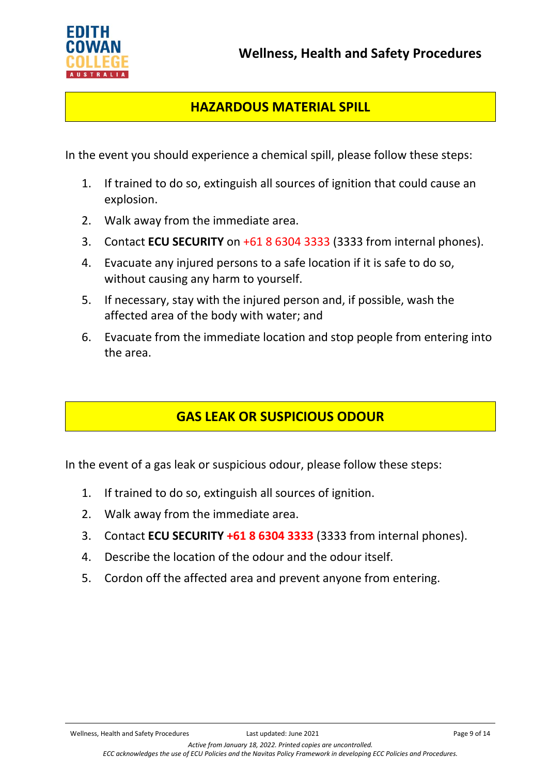



## **HAZARDOUS MATERIAL SPILL**

In the event you should experience a chemical spill, please follow these steps:

- 1. If trained to do so, extinguish all sources of ignition that could cause an explosion.
- 2. Walk away from the immediate area.
- 3. Contact **ECU SECURITY** on +61 8 6304 3333 (3333 from internal phones).
- 4. Evacuate any injured persons to a safe location if it is safe to do so, without causing any harm to yourself.
- 5. If necessary, stay with the injured person and, if possible, wash the affected area of the body with water; and
- 6. Evacuate from the immediate location and stop people from entering into the area.

# **GAS LEAK OR SUSPICIOUS ODOUR**

In the event of a gas leak or suspicious odour, please follow these steps:

- 1. If trained to do so, extinguish all sources of ignition.
- 2. Walk away from the immediate area.
- 3. Contact **ECU SECURITY +61 8 6304 3333** (3333 from internal phones).
- 4. Describe the location of the odour and the odour itself.
- 5. Cordon off the affected area and prevent anyone from entering.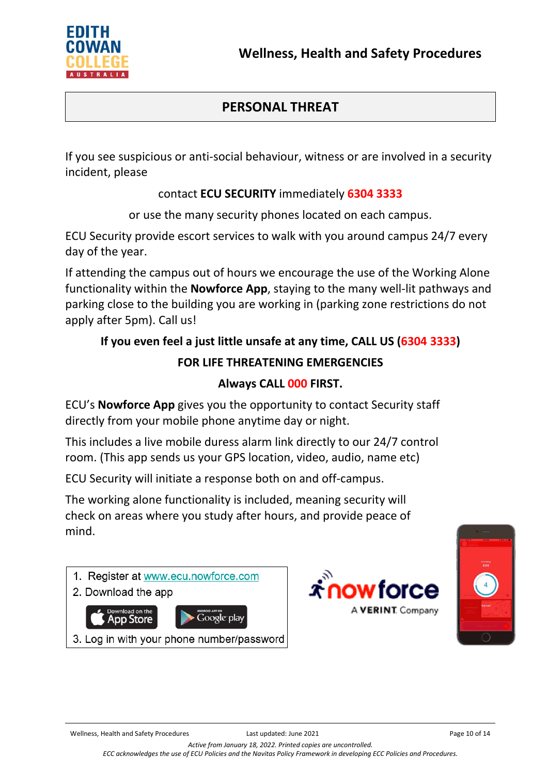

# **PERSONAL THREAT**

If you see suspicious or anti-social behaviour, witness or are involved in a security incident, please

## contact **ECU SECURITY** immediately **6304 3333**

or use the many security phones located on each campus.

ECU Security provide escort services to walk with you around campus 24/7 every day of the year.

If attending the campus out of hours we encourage the use of the Working Alone functionality within the **Nowforce App**, staying to the many well-lit pathways and parking close to the building you are working in (parking zone restrictions do not apply after 5pm). Call us!

# **If you even feel a just little unsafe at any time, CALL US (6304 3333)**

## **FOR LIFE THREATENING EMERGENCIES**

## **Always CALL 000 FIRST.**

ECU's **Nowforce App** gives you the opportunity to contact Security staff directly from your mobile phone anytime day or night.

This includes a live mobile duress alarm link directly to our 24/7 control room. (This app sends us your GPS location, video, audio, name etc)

ECU Security will initiate a response both on and off-campus.

The working alone functionality is included, meaning security will check on areas where you study after hours, and provide peace of mind.

1. Register at www.ecu.nowforce.com 2. Download the app Google play pp Store 3. Log in with your phone number/password



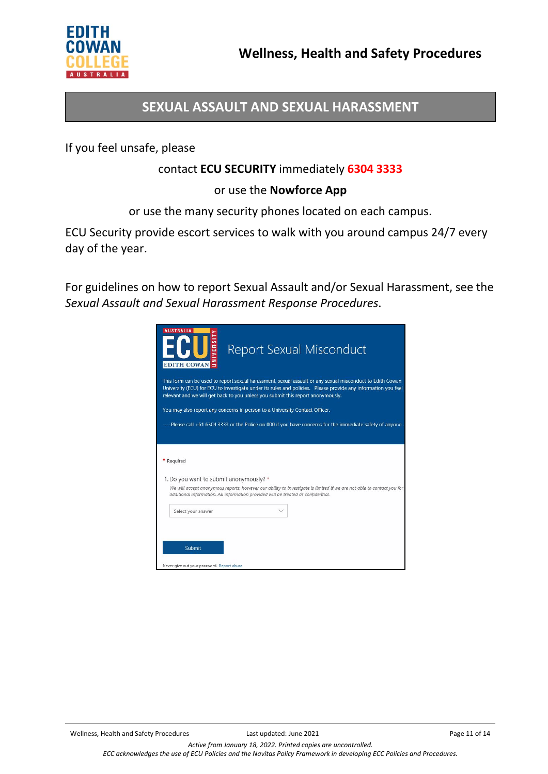

## **SEXUAL ASSAULT AND SEXUAL HARASSMENT**

If you feel unsafe, please

## contact **ECU SECURITY** immediately **6304 3333**

### or use the **Nowforce App**

or use the many security phones located on each campus.

ECU Security provide escort services to walk with you around campus 24/7 every day of the year.

For guidelines on how to report Sexual Assault and/or Sexual Harassment, see the *Sexual Assault and Sexual Harassment Response Procedures*.

| <b>AUSTRALIA</b><br><b>ECU</b>             | <b>Report Sexual Misconduct</b>                                                                                                                                                                                                                                                                               |
|--------------------------------------------|---------------------------------------------------------------------------------------------------------------------------------------------------------------------------------------------------------------------------------------------------------------------------------------------------------------|
|                                            | This form can be used to report sexual harassment, sexual assault or any sexual misconduct to Edith Cowan<br>University (ECU) for ECU to investigate under its rules and policies. Please provide any information you feel<br>relevant and we will get back to you unless you submit this report anonymously. |
|                                            | You may also report any concerns in person to a University Contact Officer.                                                                                                                                                                                                                                   |
|                                            |                                                                                                                                                                                                                                                                                                               |
|                                            | ----Please call +61 6304 3333 or the Police on 000 if you have concerns for the immediate safety of anyone.                                                                                                                                                                                                   |
|                                            |                                                                                                                                                                                                                                                                                                               |
|                                            |                                                                                                                                                                                                                                                                                                               |
| * Required                                 |                                                                                                                                                                                                                                                                                                               |
|                                            |                                                                                                                                                                                                                                                                                                               |
| 1. Do you want to submit anonymously? *    |                                                                                                                                                                                                                                                                                                               |
|                                            | We will accept anonymous reports, however our ability to investigate is limited if we are not able to contact you for<br>additional information. All information provided will be treated as confidential.                                                                                                    |
| Select your answer                         |                                                                                                                                                                                                                                                                                                               |
|                                            |                                                                                                                                                                                                                                                                                                               |
|                                            |                                                                                                                                                                                                                                                                                                               |
|                                            |                                                                                                                                                                                                                                                                                                               |
|                                            |                                                                                                                                                                                                                                                                                                               |
| Submit                                     |                                                                                                                                                                                                                                                                                                               |
| Never give out your password. Report abuse |                                                                                                                                                                                                                                                                                                               |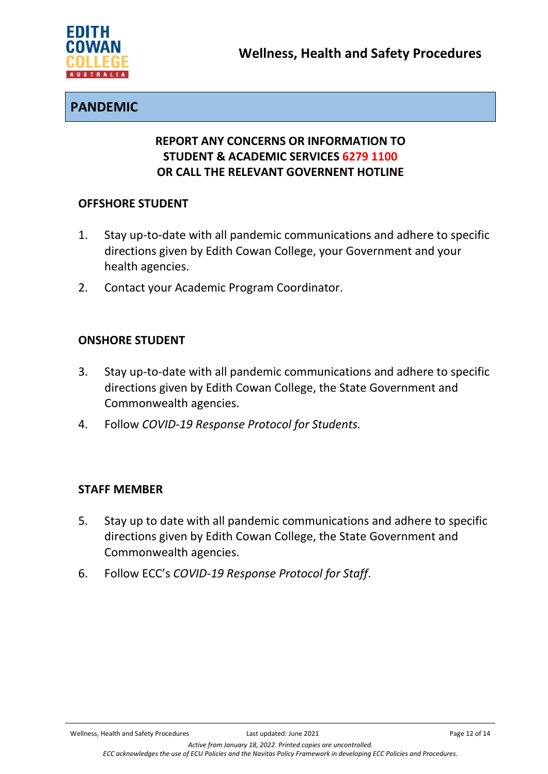

## **PANDEMIC**

## **REPORT ANY CONCERNS OR INFORMATION TO STUDENT & ACADEMIC SERVICES 6279 1100 OR CALL THE RELEVANT GOVERNENT HOTLINE**

### **OFFSHORE STUDENT**

- 1. Stay up-to-date with all pandemic communications and adhere to specific directions given by Edith Cowan College, your Government and your health agencies.
- 2. Contact your Academic Program Coordinator.

### **ONSHORE STUDENT**

- 3. Stay up-to-date with all pandemic communications and adhere to specific directions given by Edith Cowan College, the State Government and Commonwealth agencies.
- 4. Follow *COVID-19 Response Protocol for Students.*

## **STAFF MEMBER**

- 5. Stay up to date with all pandemic communications and adhere to specific directions given by Edith Cowan College, the State Government and Commonwealth agencies.
- 6. Follow ECC's *COVID-19 Response Protocol for Staff*.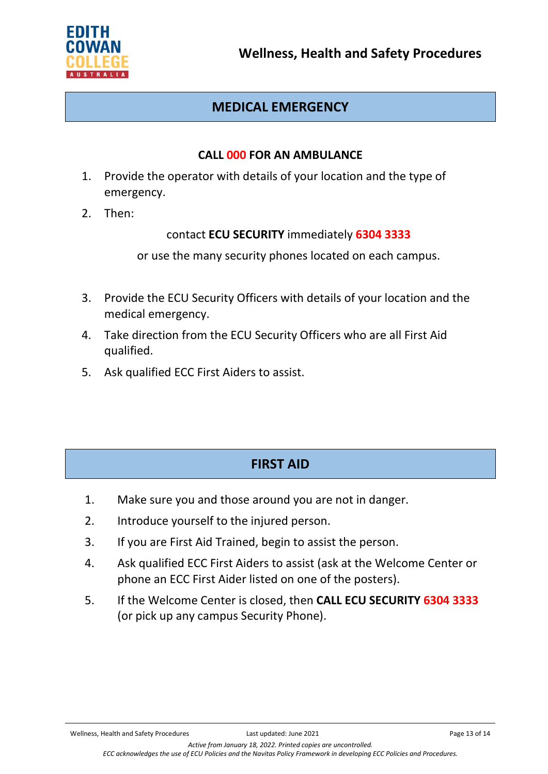

# **MEDICAL EMERGENCY**

### **CALL 000 FOR AN AMBULANCE**

- 1. Provide the operator with details of your location and the type of emergency.
- 2. Then:

## contact **ECU SECURITY** immediately **6304 3333**

or use the many security phones located on each campus.

- 3. Provide the ECU Security Officers with details of your location and the medical emergency.
- 4. Take direction from the ECU Security Officers who are all First Aid qualified.
- 5. Ask qualified ECC First Aiders to assist.

# **FIRST AID**

- 1. Make sure you and those around you are not in danger.
- 2. Introduce yourself to the injured person.
- 3. If you are First Aid Trained, begin to assist the person.
- 4. Ask qualified ECC First Aiders to assist (ask at the Welcome Center or phone an ECC First Aider listed on one of the posters).
- 5. If the Welcome Center is closed, then **CALL ECU SECURITY 6304 3333** (or pick up any campus Security Phone).